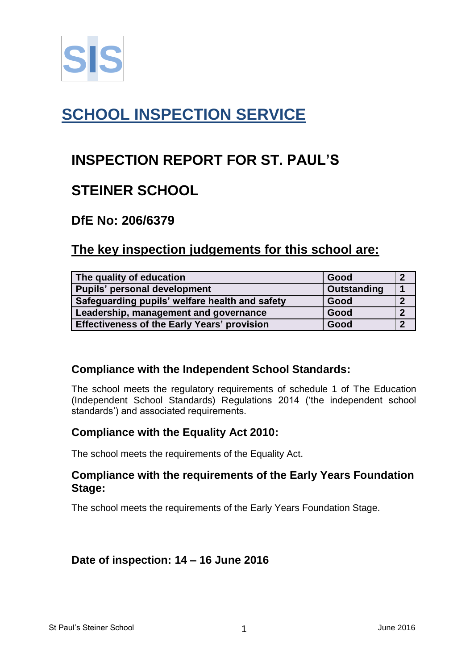

# **SCHOOL INSPECTION SERVICE**

# **INSPECTION REPORT FOR ST. PAUL'S**

# **STEINER SCHOOL**

### **DfE No: 206/6379**

## **The key inspection judgements for this school are:**

| The quality of education                           | Good        |  |
|----------------------------------------------------|-------------|--|
| <b>Pupils' personal development</b>                | Outstanding |  |
| Safeguarding pupils' welfare health and safety     | Good        |  |
| Leadership, management and governance              | Good        |  |
| <b>Effectiveness of the Early Years' provision</b> | Good        |  |

#### **Compliance with the Independent School Standards:**

The school meets the regulatory requirements of schedule 1 of The Education (Independent School Standards) Regulations 2014 ('the independent school standards') and associated requirements.

#### **Compliance with the Equality Act 2010:**

The school meets the requirements of the Equality Act.

#### **Compliance with the requirements of the Early Years Foundation Stage:**

The school meets the requirements of the Early Years Foundation Stage.

### **Date of inspection: 14 – 16 June 2016**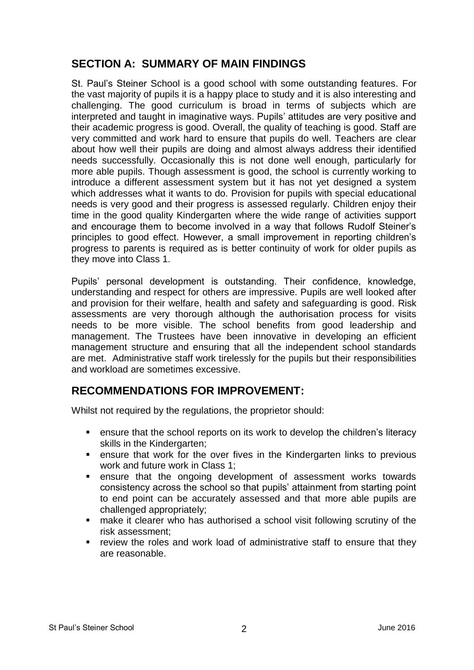#### **SECTION A: SUMMARY OF MAIN FINDINGS**

St. Paul's Steiner School is a good school with some outstanding features. For the vast majority of pupils it is a happy place to study and it is also interesting and challenging. The good curriculum is broad in terms of subjects which are interpreted and taught in imaginative ways. Pupils' attitudes are very positive and their academic progress is good. Overall, the quality of teaching is good. Staff are very committed and work hard to ensure that pupils do well. Teachers are clear about how well their pupils are doing and almost always address their identified needs successfully. Occasionally this is not done well enough, particularly for more able pupils. Though assessment is good, the school is currently working to introduce a different assessment system but it has not yet designed a system which addresses what it wants to do. Provision for pupils with special educational needs is very good and their progress is assessed regularly. Children enjoy their time in the good quality Kindergarten where the wide range of activities support and encourage them to become involved in a way that follows Rudolf Steiner's principles to good effect. However, a small improvement in reporting children's progress to parents is required as is better continuity of work for older pupils as they move into Class 1.

Pupils' personal development is outstanding. Their confidence, knowledge, understanding and respect for others are impressive. Pupils are well looked after and provision for their welfare, health and safety and safeguarding is good. Risk assessments are very thorough although the authorisation process for visits needs to be more visible. The school benefits from good leadership and management. The Trustees have been innovative in developing an efficient management structure and ensuring that all the independent school standards are met. Administrative staff work tirelessly for the pupils but their responsibilities and workload are sometimes excessive.

### **RECOMMENDATIONS FOR IMPROVEMENT:**

Whilst not required by the regulations, the proprietor should:

- ensure that the school reports on its work to develop the children's literacy skills in the Kindergarten;
- **EXE** ensure that work for the over fives in the Kindergarten links to previous work and future work in Class 1;
- ensure that the ongoing development of assessment works towards consistency across the school so that pupils' attainment from starting point to end point can be accurately assessed and that more able pupils are challenged appropriately;
- make it clearer who has authorised a school visit following scrutiny of the risk assessment;
- review the roles and work load of administrative staff to ensure that they are reasonable.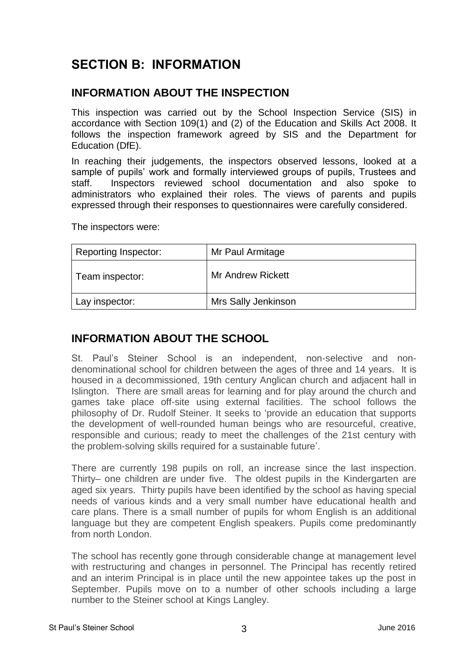# **SECTION B: INFORMATION**

#### **INFORMATION ABOUT THE INSPECTION**

This inspection was carried out by the School Inspection Service (SIS) in accordance with Section 109(1) and (2) of the Education and Skills Act 2008. It follows the inspection framework agreed by SIS and the Department for Education (DfE).

In reaching their judgements, the inspectors observed lessons, looked at a sample of pupils' work and formally interviewed groups of pupils, Trustees and staff. Inspectors reviewed school documentation and also spoke to administrators who explained their roles. The views of parents and pupils expressed through their responses to questionnaires were carefully considered.

The inspectors were:

| <b>Reporting Inspector:</b> | Mr Paul Armitage         |
|-----------------------------|--------------------------|
| Team inspector:             | <b>Mr Andrew Rickett</b> |
| Lay inspector:              | Mrs Sally Jenkinson      |

### **INFORMATION ABOUT THE SCHOOL**

St. Paul's Steiner School is an independent, non-selective and nondenominational school for children between the ages of three and 14 years. It is housed in a decommissioned, 19th century Anglican church and adjacent hall in Islington. There are small areas for learning and for play around the church and games take place off-site using external facilities. The school follows the philosophy of Dr. Rudolf Steiner. It seeks to 'provide an education that supports the development of well-rounded human beings who are resourceful, creative, responsible and curious; ready to meet the challenges of the 21st century with the problem-solving skills required for a sustainable future'.

There are currently 198 pupils on roll, an increase since the last inspection. Thirty– one children are under five. The oldest pupils in the Kindergarten are aged six years. Thirty pupils have been identified by the school as having special needs of various kinds and a very small number have educational health and care plans. There is a small number of pupils for whom English is an additional language but they are competent English speakers. Pupils come predominantly from north London.

The school has recently gone through considerable change at management level with restructuring and changes in personnel. The Principal has recently retired and an interim Principal is in place until the new appointee takes up the post in September. Pupils move on to a number of other schools including a large number to the Steiner school at Kings Langley.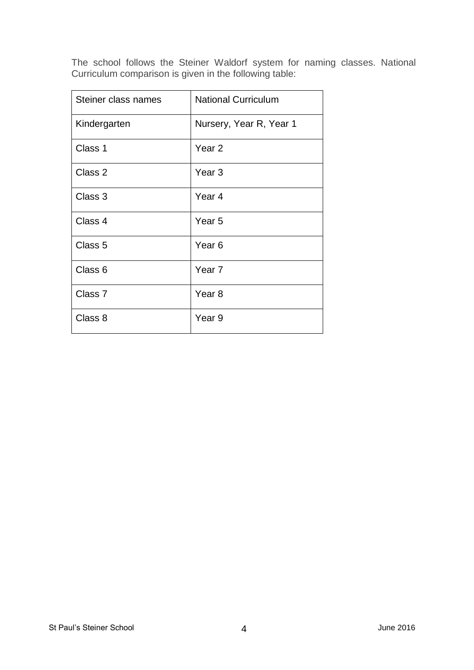The school follows the Steiner Waldorf system for naming classes. National Curriculum comparison is given in the following table:

| Steiner class names | <b>National Curriculum</b> |
|---------------------|----------------------------|
| Kindergarten        | Nursery, Year R, Year 1    |
| Class 1             | Year <sub>2</sub>          |
| Class 2             | Year <sub>3</sub>          |
| Class 3             | Year 4                     |
| Class 4             | Year <sub>5</sub>          |
| Class <sub>5</sub>  | Year 6                     |
| Class <sub>6</sub>  | Year <sub>7</sub>          |
| Class <sub>7</sub>  | Year 8                     |
| Class 8             | Year <sub>9</sub>          |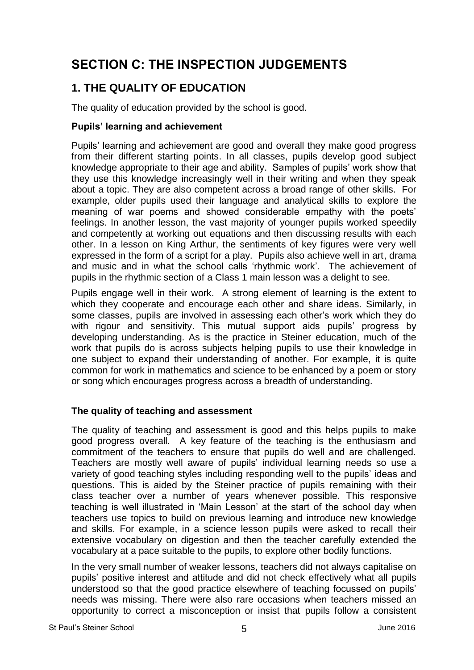# **SECTION C: THE INSPECTION JUDGEMENTS**

### **1. THE QUALITY OF EDUCATION**

The quality of education provided by the school is good.

#### **Pupils' learning and achievement**

Pupils' learning and achievement are good and overall they make good progress from their different starting points. In all classes, pupils develop good subject knowledge appropriate to their age and ability. Samples of pupils' work show that they use this knowledge increasingly well in their writing and when they speak about a topic. They are also competent across a broad range of other skills. For example, older pupils used their language and analytical skills to explore the meaning of war poems and showed considerable empathy with the poets' feelings. In another lesson, the vast majority of younger pupils worked speedily and competently at working out equations and then discussing results with each other. In a lesson on King Arthur, the sentiments of key figures were very well expressed in the form of a script for a play. Pupils also achieve well in art, drama and music and in what the school calls 'rhythmic work'. The achievement of pupils in the rhythmic section of a Class 1 main lesson was a delight to see.

Pupils engage well in their work. A strong element of learning is the extent to which they cooperate and encourage each other and share ideas. Similarly, in some classes, pupils are involved in assessing each other's work which they do with rigour and sensitivity. This mutual support aids pupils' progress by developing understanding. As is the practice in Steiner education, much of the work that pupils do is across subjects helping pupils to use their knowledge in one subject to expand their understanding of another. For example, it is quite common for work in mathematics and science to be enhanced by a poem or story or song which encourages progress across a breadth of understanding.

#### **The quality of teaching and assessment**

The quality of teaching and assessment is good and this helps pupils to make good progress overall. A key feature of the teaching is the enthusiasm and commitment of the teachers to ensure that pupils do well and are challenged. Teachers are mostly well aware of pupils' individual learning needs so use a variety of good teaching styles including responding well to the pupils' ideas and questions. This is aided by the Steiner practice of pupils remaining with their class teacher over a number of years whenever possible. This responsive teaching is well illustrated in 'Main Lesson' at the start of the school day when teachers use topics to build on previous learning and introduce new knowledge and skills. For example, in a science lesson pupils were asked to recall their extensive vocabulary on digestion and then the teacher carefully extended the vocabulary at a pace suitable to the pupils, to explore other bodily functions.

In the very small number of weaker lessons, teachers did not always capitalise on pupils' positive interest and attitude and did not check effectively what all pupils understood so that the good practice elsewhere of teaching focussed on pupils' needs was missing. There were also rare occasions when teachers missed an opportunity to correct a misconception or insist that pupils follow a consistent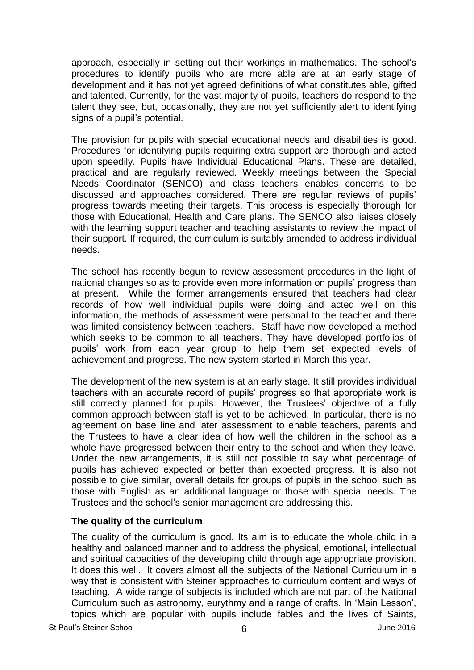approach, especially in setting out their workings in mathematics. The school's procedures to identify pupils who are more able are at an early stage of development and it has not yet agreed definitions of what constitutes able, gifted and talented. Currently, for the vast majority of pupils, teachers do respond to the talent they see, but, occasionally, they are not yet sufficiently alert to identifying signs of a pupil's potential.

The provision for pupils with special educational needs and disabilities is good. Procedures for identifying pupils requiring extra support are thorough and acted upon speedily. Pupils have Individual Educational Plans. These are detailed, practical and are regularly reviewed. Weekly meetings between the Special Needs Coordinator (SENCO) and class teachers enables concerns to be discussed and approaches considered. There are regular reviews of pupils' progress towards meeting their targets. This process is especially thorough for those with Educational, Health and Care plans. The SENCO also liaises closely with the learning support teacher and teaching assistants to review the impact of their support. If required, the curriculum is suitably amended to address individual needs.

The school has recently begun to review assessment procedures in the light of national changes so as to provide even more information on pupils' progress than at present. While the former arrangements ensured that teachers had clear records of how well individual pupils were doing and acted well on this information, the methods of assessment were personal to the teacher and there was limited consistency between teachers. Staff have now developed a method which seeks to be common to all teachers. They have developed portfolios of pupils' work from each year group to help them set expected levels of achievement and progress. The new system started in March this year.

The development of the new system is at an early stage. It still provides individual teachers with an accurate record of pupils' progress so that appropriate work is still correctly planned for pupils. However, the Trustees' objective of a fully common approach between staff is yet to be achieved. In particular, there is no agreement on base line and later assessment to enable teachers, parents and the Trustees to have a clear idea of how well the children in the school as a whole have progressed between their entry to the school and when they leave. Under the new arrangements, it is still not possible to say what percentage of pupils has achieved expected or better than expected progress. It is also not possible to give similar, overall details for groups of pupils in the school such as those with English as an additional language or those with special needs. The Trustees and the school's senior management are addressing this.

#### **The quality of the curriculum**

The quality of the curriculum is good. Its aim is to educate the whole child in a healthy and balanced manner and to address the physical, emotional, intellectual and spiritual capacities of the developing child through age appropriate provision. It does this well. It covers almost all the subjects of the National Curriculum in a way that is consistent with Steiner approaches to curriculum content and ways of teaching. A wide range of subjects is included which are not part of the National Curriculum such as astronomy, eurythmy and a range of crafts. In 'Main Lesson', topics which are popular with pupils include fables and the lives of Saints,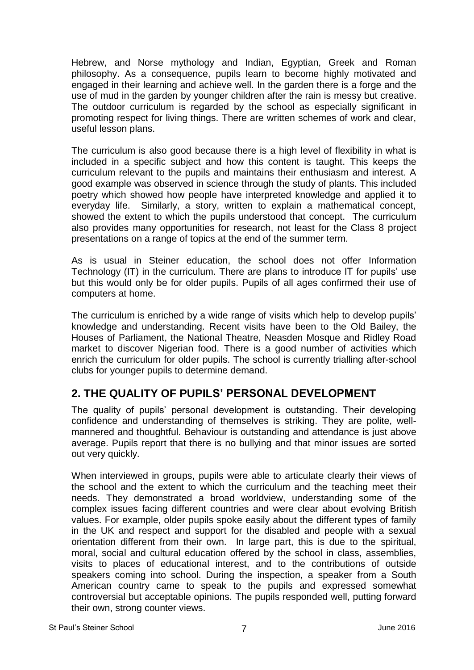Hebrew, and Norse mythology and Indian, Egyptian, Greek and Roman philosophy. As a consequence, pupils learn to become highly motivated and engaged in their learning and achieve well. In the garden there is a forge and the use of mud in the garden by younger children after the rain is messy but creative. The outdoor curriculum is regarded by the school as especially significant in promoting respect for living things. There are written schemes of work and clear, useful lesson plans.

The curriculum is also good because there is a high level of flexibility in what is included in a specific subject and how this content is taught. This keeps the curriculum relevant to the pupils and maintains their enthusiasm and interest. A good example was observed in science through the study of plants. This included poetry which showed how people have interpreted knowledge and applied it to everyday life. Similarly, a story, written to explain a mathematical concept, showed the extent to which the pupils understood that concept. The curriculum also provides many opportunities for research, not least for the Class 8 project presentations on a range of topics at the end of the summer term.

As is usual in Steiner education, the school does not offer Information Technology (IT) in the curriculum. There are plans to introduce IT for pupils' use but this would only be for older pupils. Pupils of all ages confirmed their use of computers at home.

The curriculum is enriched by a wide range of visits which help to develop pupils' knowledge and understanding. Recent visits have been to the Old Bailey, the Houses of Parliament, the National Theatre, Neasden Mosque and Ridley Road market to discover Nigerian food. There is a good number of activities which enrich the curriculum for older pupils. The school is currently trialling after-school clubs for younger pupils to determine demand.

### **2. THE QUALITY OF PUPILS' PERSONAL DEVELOPMENT**

The quality of pupils' personal development is outstanding. Their developing confidence and understanding of themselves is striking. They are polite, wellmannered and thoughtful. Behaviour is outstanding and attendance is just above average. Pupils report that there is no bullying and that minor issues are sorted out very quickly.

When interviewed in groups, pupils were able to articulate clearly their views of the school and the extent to which the curriculum and the teaching meet their needs. They demonstrated a broad worldview, understanding some of the complex issues facing different countries and were clear about evolving British values. For example, older pupils spoke easily about the different types of family in the UK and respect and support for the disabled and people with a sexual orientation different from their own. In large part, this is due to the spiritual, moral, social and cultural education offered by the school in class, assemblies, visits to places of educational interest, and to the contributions of outside speakers coming into school. During the inspection, a speaker from a South American country came to speak to the pupils and expressed somewhat controversial but acceptable opinions. The pupils responded well, putting forward their own, strong counter views.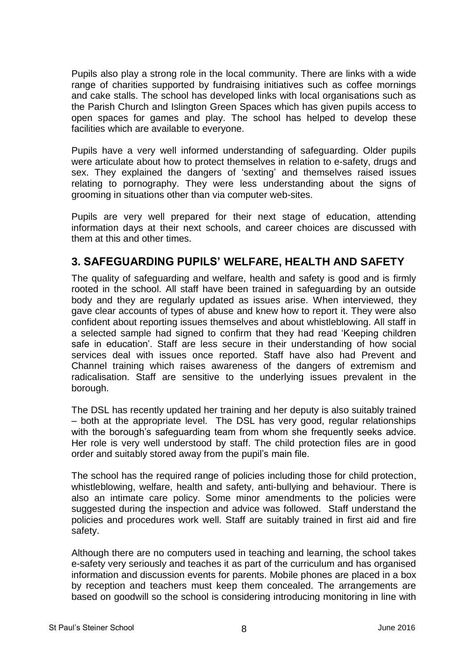Pupils also play a strong role in the local community. There are links with a wide range of charities supported by fundraising initiatives such as coffee mornings and cake stalls. The school has developed links with local organisations such as the Parish Church and Islington Green Spaces which has given pupils access to open spaces for games and play. The school has helped to develop these facilities which are available to everyone.

Pupils have a very well informed understanding of safeguarding. Older pupils were articulate about how to protect themselves in relation to e-safety, drugs and sex. They explained the dangers of 'sexting' and themselves raised issues relating to pornography. They were less understanding about the signs of grooming in situations other than via computer web-sites.

Pupils are very well prepared for their next stage of education, attending information days at their next schools, and career choices are discussed with them at this and other times.

### **3. SAFEGUARDING PUPILS' WELFARE, HEALTH AND SAFETY**

The quality of safeguarding and welfare, health and safety is good and is firmly rooted in the school. All staff have been trained in safeguarding by an outside body and they are regularly updated as issues arise. When interviewed, they gave clear accounts of types of abuse and knew how to report it. They were also confident about reporting issues themselves and about whistleblowing. All staff in a selected sample had signed to confirm that they had read 'Keeping children safe in education'. Staff are less secure in their understanding of how social services deal with issues once reported. Staff have also had Prevent and Channel training which raises awareness of the dangers of extremism and radicalisation. Staff are sensitive to the underlying issues prevalent in the borough.

The DSL has recently updated her training and her deputy is also suitably trained – both at the appropriate level. The DSL has very good, regular relationships with the borough's safeguarding team from whom she frequently seeks advice. Her role is very well understood by staff. The child protection files are in good order and suitably stored away from the pupil's main file.

The school has the required range of policies including those for child protection, whistleblowing, welfare, health and safety, anti-bullying and behaviour. There is also an intimate care policy. Some minor amendments to the policies were suggested during the inspection and advice was followed. Staff understand the policies and procedures work well. Staff are suitably trained in first aid and fire safety.

Although there are no computers used in teaching and learning, the school takes e-safety very seriously and teaches it as part of the curriculum and has organised information and discussion events for parents. Mobile phones are placed in a box by reception and teachers must keep them concealed. The arrangements are based on goodwill so the school is considering introducing monitoring in line with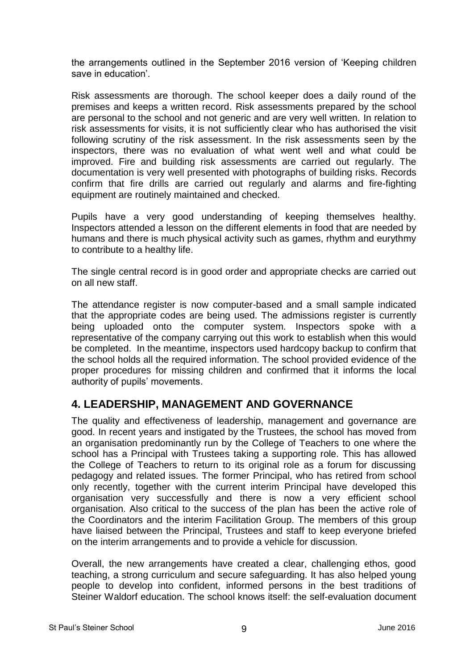the arrangements outlined in the September 2016 version of 'Keeping children save in education'.

Risk assessments are thorough. The school keeper does a daily round of the premises and keeps a written record. Risk assessments prepared by the school are personal to the school and not generic and are very well written. In relation to risk assessments for visits, it is not sufficiently clear who has authorised the visit following scrutiny of the risk assessment. In the risk assessments seen by the inspectors, there was no evaluation of what went well and what could be improved. Fire and building risk assessments are carried out regularly. The documentation is very well presented with photographs of building risks. Records confirm that fire drills are carried out regularly and alarms and fire-fighting equipment are routinely maintained and checked.

Pupils have a very good understanding of keeping themselves healthy. Inspectors attended a lesson on the different elements in food that are needed by humans and there is much physical activity such as games, rhythm and eurythmy to contribute to a healthy life.

The single central record is in good order and appropriate checks are carried out on all new staff.

The attendance register is now computer-based and a small sample indicated that the appropriate codes are being used. The admissions register is currently being uploaded onto the computer system. Inspectors spoke with a representative of the company carrying out this work to establish when this would be completed. In the meantime, inspectors used hardcopy backup to confirm that the school holds all the required information. The school provided evidence of the proper procedures for missing children and confirmed that it informs the local authority of pupils' movements.

### **4. LEADERSHIP, MANAGEMENT AND GOVERNANCE**

The quality and effectiveness of leadership, management and governance are good. In recent years and instigated by the Trustees, the school has moved from an organisation predominantly run by the College of Teachers to one where the school has a Principal with Trustees taking a supporting role. This has allowed the College of Teachers to return to its original role as a forum for discussing pedagogy and related issues. The former Principal, who has retired from school only recently, together with the current interim Principal have developed this organisation very successfully and there is now a very efficient school organisation. Also critical to the success of the plan has been the active role of the Coordinators and the interim Facilitation Group. The members of this group have liaised between the Principal, Trustees and staff to keep everyone briefed on the interim arrangements and to provide a vehicle for discussion.

Overall, the new arrangements have created a clear, challenging ethos, good teaching, a strong curriculum and secure safeguarding. It has also helped young people to develop into confident, informed persons in the best traditions of Steiner Waldorf education. The school knows itself: the self-evaluation document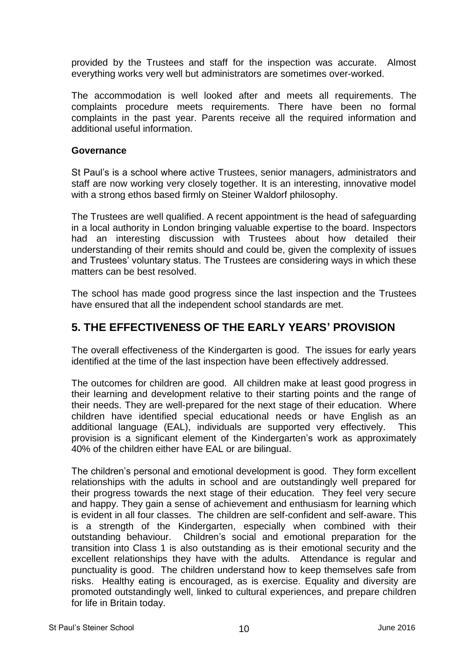provided by the Trustees and staff for the inspection was accurate. Almost everything works very well but administrators are sometimes over-worked.

The accommodation is well looked after and meets all requirements. The complaints procedure meets requirements. There have been no formal complaints in the past year. Parents receive all the required information and additional useful information.

#### **Governance**

St Paul's is a school where active Trustees, senior managers, administrators and staff are now working very closely together. It is an interesting, innovative model with a strong ethos based firmly on Steiner Waldorf philosophy.

The Trustees are well qualified. A recent appointment is the head of safeguarding in a local authority in London bringing valuable expertise to the board. Inspectors had an interesting discussion with Trustees about how detailed their understanding of their remits should and could be, given the complexity of issues and Trustees' voluntary status. The Trustees are considering ways in which these matters can be best resolved.

The school has made good progress since the last inspection and the Trustees have ensured that all the independent school standards are met.

#### **5. THE EFFECTIVENESS OF THE EARLY YEARS' PROVISION**

The overall effectiveness of the Kindergarten is good. The issues for early years identified at the time of the last inspection have been effectively addressed.

The outcomes for children are good. All children make at least good progress in their learning and development relative to their starting points and the range of their needs. They are well-prepared for the next stage of their education. Where children have identified special educational needs or have English as an additional language (EAL), individuals are supported very effectively. This provision is a significant element of the Kindergarten's work as approximately 40% of the children either have EAL or are bilingual.

The children's personal and emotional development is good. They form excellent relationships with the adults in school and are outstandingly well prepared for their progress towards the next stage of their education. They feel very secure and happy. They gain a sense of achievement and enthusiasm for learning which is evident in all four classes. The children are self-confident and self-aware. This is a strength of the Kindergarten, especially when combined with their outstanding behaviour. Children's social and emotional preparation for the transition into Class 1 is also outstanding as is their emotional security and the excellent relationships they have with the adults. Attendance is regular and punctuality is good. The children understand how to keep themselves safe from risks. Healthy eating is encouraged, as is exercise. Equality and diversity are promoted outstandingly well, linked to cultural experiences, and prepare children for life in Britain today.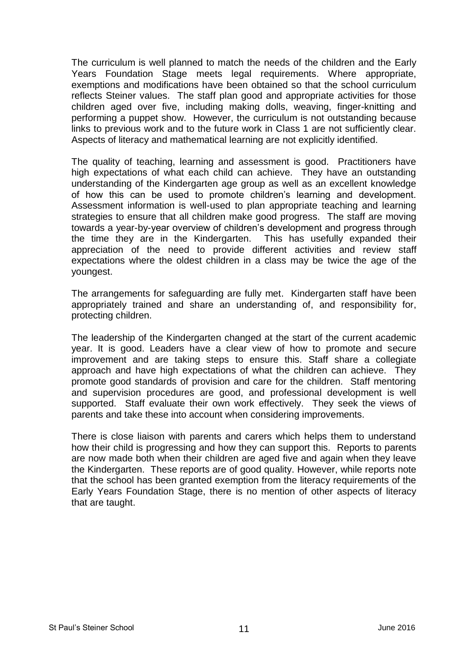The curriculum is well planned to match the needs of the children and the Early Years Foundation Stage meets legal requirements. Where appropriate, exemptions and modifications have been obtained so that the school curriculum reflects Steiner values. The staff plan good and appropriate activities for those children aged over five, including making dolls, weaving, finger-knitting and performing a puppet show. However, the curriculum is not outstanding because links to previous work and to the future work in Class 1 are not sufficiently clear. Aspects of literacy and mathematical learning are not explicitly identified.

The quality of teaching, learning and assessment is good. Practitioners have high expectations of what each child can achieve. They have an outstanding understanding of the Kindergarten age group as well as an excellent knowledge of how this can be used to promote children's learning and development. Assessment information is well-used to plan appropriate teaching and learning strategies to ensure that all children make good progress. The staff are moving towards a year-by-year overview of children's development and progress through the time they are in the Kindergarten. This has usefully expanded their appreciation of the need to provide different activities and review staff expectations where the oldest children in a class may be twice the age of the youngest.

The arrangements for safeguarding are fully met. Kindergarten staff have been appropriately trained and share an understanding of, and responsibility for, protecting children.

The leadership of the Kindergarten changed at the start of the current academic year. It is good. Leaders have a clear view of how to promote and secure improvement and are taking steps to ensure this. Staff share a collegiate approach and have high expectations of what the children can achieve. They promote good standards of provision and care for the children. Staff mentoring and supervision procedures are good, and professional development is well supported. Staff evaluate their own work effectively. They seek the views of parents and take these into account when considering improvements.

There is close liaison with parents and carers which helps them to understand how their child is progressing and how they can support this. Reports to parents are now made both when their children are aged five and again when they leave the Kindergarten. These reports are of good quality. However, while reports note that the school has been granted exemption from the literacy requirements of the Early Years Foundation Stage, there is no mention of other aspects of literacy that are taught.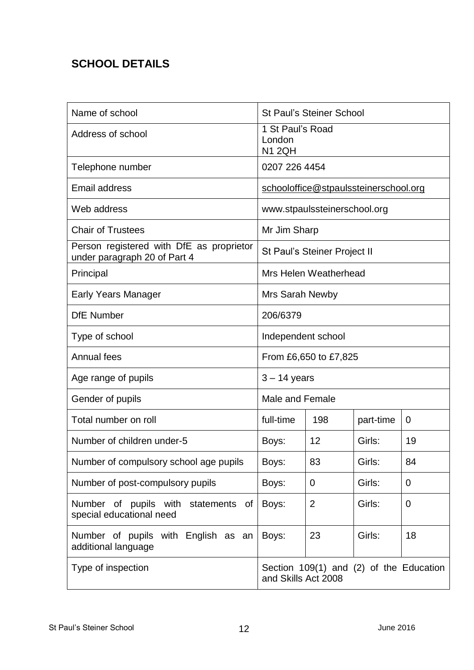## **SCHOOL DETAILS**

| Name of school                                                           | <b>St Paul's Steiner School</b>                                |                |           |                |
|--------------------------------------------------------------------------|----------------------------------------------------------------|----------------|-----------|----------------|
| Address of school                                                        | 1 St Paul's Road<br>London<br><b>N1 2QH</b>                    |                |           |                |
| Telephone number                                                         | 0207 226 4454                                                  |                |           |                |
| Email address                                                            | schooloffice@stpaulssteinerschool.org                          |                |           |                |
| Web address                                                              | www.stpaulssteinerschool.org                                   |                |           |                |
| <b>Chair of Trustees</b>                                                 | Mr Jim Sharp                                                   |                |           |                |
| Person registered with DfE as proprietor<br>under paragraph 20 of Part 4 | St Paul's Steiner Project II                                   |                |           |                |
| Principal                                                                | Mrs Helen Weatherhead                                          |                |           |                |
| Early Years Manager                                                      | Mrs Sarah Newby                                                |                |           |                |
| <b>DfE</b> Number                                                        | 206/6379                                                       |                |           |                |
| Type of school                                                           | Independent school                                             |                |           |                |
| <b>Annual fees</b>                                                       | From £6,650 to £7,825                                          |                |           |                |
| Age range of pupils                                                      | $3 - 14$ years                                                 |                |           |                |
| Gender of pupils                                                         | Male and Female                                                |                |           |                |
| Total number on roll                                                     | full-time                                                      | 198            | part-time | $\mathbf 0$    |
| Number of children under-5                                               | Boys:                                                          | 12             | Girls:    | 19             |
| Number of compulsory school age pupils                                   | Boys:                                                          | 83             | Girls:    | 84             |
| Number of post-compulsory pupils                                         | Boys:                                                          | $\mathbf 0$    | Girls:    | $\Omega$       |
| Number of pupils with statements<br>0f<br>special educational need       | Boys:                                                          | $\overline{2}$ | Girls:    | $\overline{0}$ |
| Number of pupils with English as an<br>additional language               | Boys:                                                          | 23             | Girls:    | 18             |
| Type of inspection                                                       | Section 109(1) and (2) of the Education<br>and Skills Act 2008 |                |           |                |